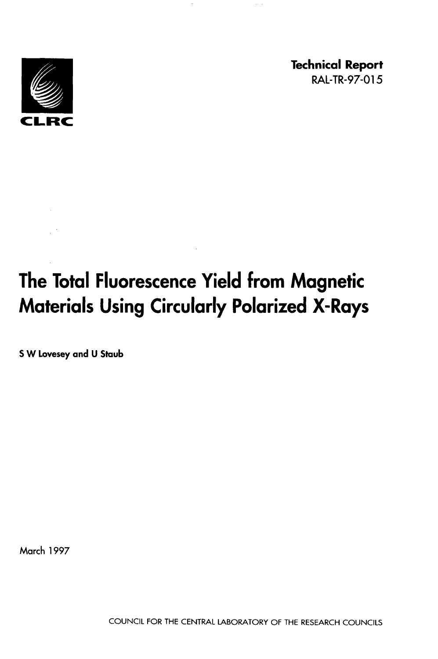

**Technical Report RAL-TR-97-0 1 5** 

# **The Total Fluorescence Yield from Magnetic Materials Using Circularly Polarized X-Rays**

**S W Lovesey and U Staub** 

**March 1997**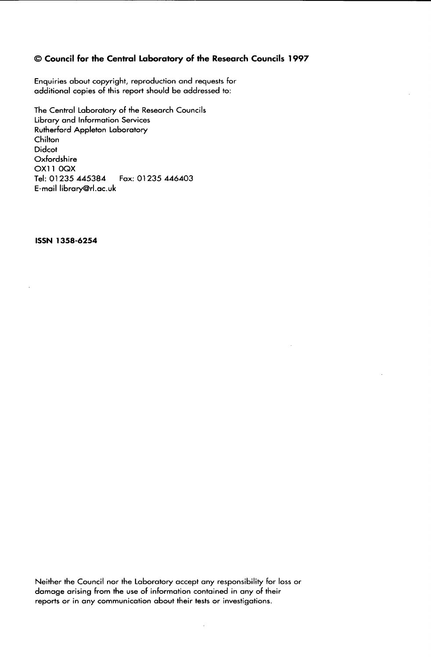## 0 **Council for the Central Laboratory of the Research Councils 1997**

Enquiries about copyright, reproduction and requests for additional copies of this report should be addressed to:

The Central Laboratory **of** the Research Councils Library and Information Services Rutherford Appleton Laboratory **Chilton** Didcot Oxfordshire OX11 0QX Tel: 01 **235 445384**  E-mail libraryQrl.ac.uk Fox: 01 **235 446403** 

**ISSN 1358-6254** 

Neither the Council nor the Laboratory accept any responsibility for loss or damage arising from the use **of** information contained in any **of** their reports or in any communication about their tests or investigations.

 $\mathcal{L}$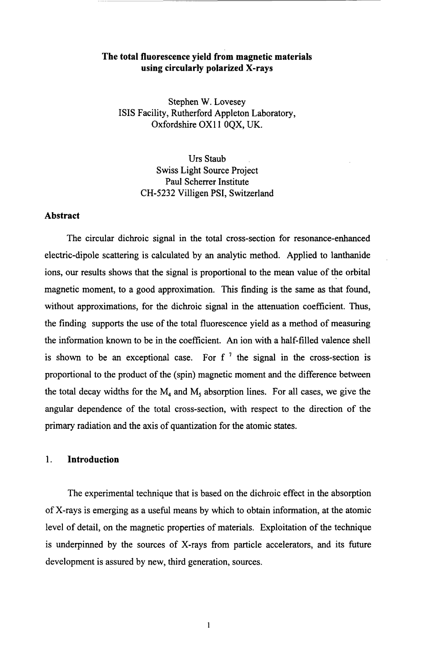## **The total fluorescence yield from magnetic materials using circularly polarized X-rays**

Stephen **W.** Lovesey ISIS Facility, Rutherford Appleton Laboratory, Oxfordshire OX11 0QX, UK.

> Urs Staub Swiss Light Source Project Paul Scherrer Institute **CH-5232** Villigen PSI, Switzerland

#### **Abstract**

The circular dichroic signal in the total cross-section for resonance-enhanced electric-dipole scattering is calculated by an analytic method. Applied to lanthanide ions, our results shows that the signal is proportional to the mean value of the orbital magnetic moment, to a good approximation. This finding is the same as that found, without approximations, for the dichroic signal in the attenuation coefficient. Thus, the finding supports the use of the total fluorescence yield as a method of measuring the information known to be in the coefficient. *An* ion with a half-filled valence shell is shown to be an exceptional case. For  $f<sup>7</sup>$  the signal in the cross-section is proportional to the product of the (spin) magnetic moment and the difference between the total decay widths for the  $M<sub>4</sub>$  and  $M<sub>5</sub>$  absorption lines. For all cases, we give the angular dependence of the total cross-section, with respect to the direction of the primary radiation and the axis of quantization for the atomic states.

## **1. Introduction**

The experimental technique that is based on the dichroic effect in the absorption of X-rays is emerging as a useful means by which to obtain information, at the atomic level of detail, on the magnetic properties of materials. Exploitation of the technique is underpinned by the sources of X-rays from particle accelerators, and its future development is assured by new, third generation, sources.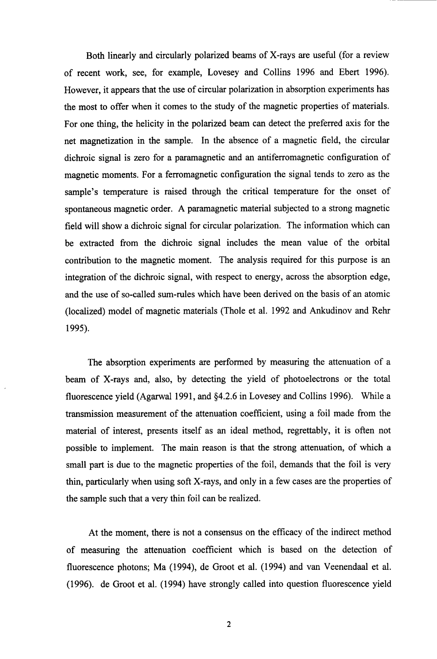Both linearly and circularly polarized beams of X-rays are useful (for a review of recent work, see, for example, Lovesey and Collins 1996 and Ebert 1996). However, it appears that the use of circular polarization in absorption experiments has the most to offer when it comes to the study of the magnetic properties of materials. For one thing, the helicity in the polarized beam can detect the preferred axis for the net magnetization in the sample. In the absence of a magnetic field, the circular dichroic signal is zero for a paramagnetic and an antiferromagnetic configuration of magnetic moments. For a ferromagnetic configuration the signal tends to zero as the sample's temperature is raised through the critical temperature for the onset of spontaneous magnetic order. A paramagnetic material subjected to a strong magnetic field will show a dichroic signal for circular polarization. The information which can be extracted fiom the dichroic signal includes the mean value of the orbital contribution to the magnetic moment. The analysis required for this purpose is an integration of the dichroic signal, with respect to energy, across the absorption edge, and the use of so-called sum-rules which have been derived on the basis of an atomic (localized) model of magnetic materials (Thole et al. 1992 and Ankudinov and Rehr 1995).

The absorption experiments are performed by measuring the attenuation of a beam of X-rays and, also, by detecting the yield of photoelectrons or the total fluorescence yield (Agarwal 1991, and \$4.2.6 in Lovesey and Collins 1996). While a transmission measurement of the attenuation coefficient, using a foil made from the material of interest, presents itself as an ideal method, regrettably, it is often not possible to implement. The main reason is that the strong attenuation, of which a small part is due to the magnetic properties of the foil, demands that the foil is very thin, particularly when using soft X-rays, and only in a few cases are the properties of the sample such that a very thin foil can be realized.

At the moment, there is not a consensus on the efficacy of the indirect method of measuring the attenuation coefficient which is based on the detection of fluorescence photons; Ma (1994), de Groot et al. (1994) and van Veenendaal et al. (1996). de Groot et al. (1994) have strongly called into question fluorescence yield

**2**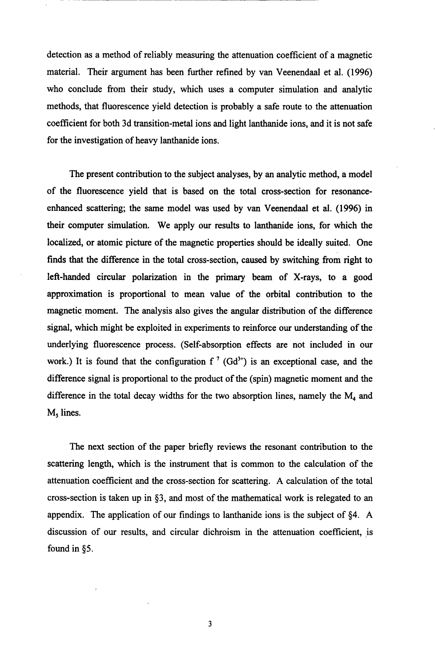detection as a method of reliably measuring the attenuation coefficient of a magnetic material. Their argument has been further refined by van Veenendaal et al. **(1996)**  who conclude from their study, which uses a computer simulation and analytic methods, that fluorescence yield detection is probably a safe route to the attenuation coefficient for both 3d transition-metal ions and light lanthanide ions, and it is not safe for the investigation of heavy lanthanide ions.

The present contribution to the subject analyses, by an analytic method, a model of the fluorescence yield that is based on the total cross-section for resonanceenhanced scattering; the same model was used by van Veenendaal et al. **(1996)** in their computer simulation. We apply **our** results to lanthanide ions, for which the localized, or atomic picture of the magnetic properties should be ideally suited. One finds that the difference in the total cross-section, caused by switching from right to left-handed circular polarization in the primary beam of X-rays, to **a** good approximation is proportional to mean value of the orbital contribution to the magnetic moment. The analysis also gives the angular distribution of the difference signal, which might be exploited in experiments to reinforce our understanding of the underlying fluorescence process. (Self-absorption effects are not included in our work.) It is found that the configuration  $f^7$  (Gd<sup>3+</sup>) is an exceptional case, and the difference signal is proportional to the product of the (spin) magnetic moment and the difference in the total decay widths for the two absorption lines, namely the  $M<sub>4</sub>$  and **M,** lines.

The next section of the paper briefly reviews the resonant contribution to the scattering length, which is the instrument that is common to the calculation of the attenuation coefficient and the cross-section for scattering. A calculation **of** the total cross-section is taken up in \$3, and most of the mathematical work is relegated to an appendix. The application of **our** findings to lanthanide ions is the subject of **\$4.** A discussion of our results, and circular dichroism in the attenuation coefficient, is found in *\$5.*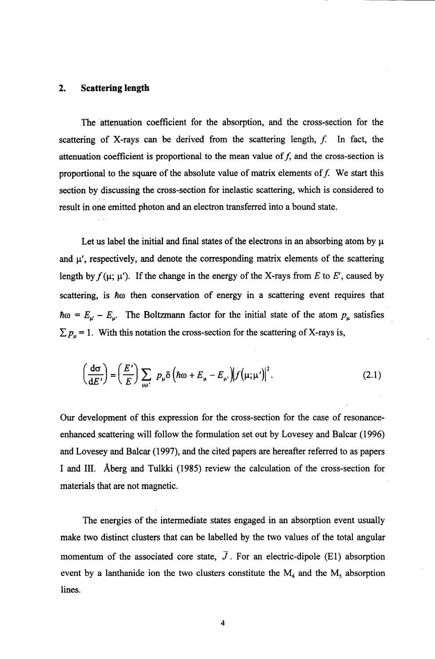#### **2. Scattering length**

The 'attenuation coefficient for the absorption, and the cross-section for the scattering of X-rays can be derived from the scattering length, *f:* In fact, the attenuation coefficient is proportional to the mean value of  $f$ , and the cross-section is proportional to the square of the absolute value of matrix elements of  $f$ . We start this section by discussing the cross-section for inelastic scattering, which is considered to result in one emitted photon and an electron transferred into a bound state.

Let us label the initial and final states of the electrons in an absorbing atom by  $\mu$ and  $\mu'$ , respectively, and denote the corresponding matrix elements of the scattering length by  $f(\mu; \mu')$ . If the change in the energy of the X-rays from *E* to *E'*, caused by scattering, is *Ao* then conservation of energy in a scattering event requires that  $\hbar\omega = E_{\mu} - E_{\mu}$ . The Boltzmann factor for the initial state of the atom  $p_{\mu}$  satisfies  $\sum p_\mu = 1$ . With this notation the cross-section for the scattering of X-rays is,

$$
\left(\frac{d\sigma}{dE'}\right) = \left(\frac{E'}{E}\right) \sum_{\mu\mu'} p_{\mu} \delta \left(\hbar\omega + E_{\mu} - E_{\mu'}\right) \left|f(\mu;\mu')\right|^2.
$$
\n(2.1)

**Our** development of this expression for the cross-section for the case of resonanceenhanced scattering will follow the formulation set out by Lovesey and Balcar **(1996)**  and Lovesey and Balcar **(1 997),** and the cited papers are hereafter referred to as papers I and 111. Aberg and Tulkki **(1985)** review the calculation of the cross-section for materials that are not magnetic.

The energies of the intermediate states engaged in an absorption event usually make two distinct clusters that can be labelled by the two values of the total angular momentum of the associated core state,  $\bar{J}$ . For an electric-dipole (E1) absorption event by a lanthanide ion the two clusters constitute the  $M_4$  and the  $M_5$  absorption lines.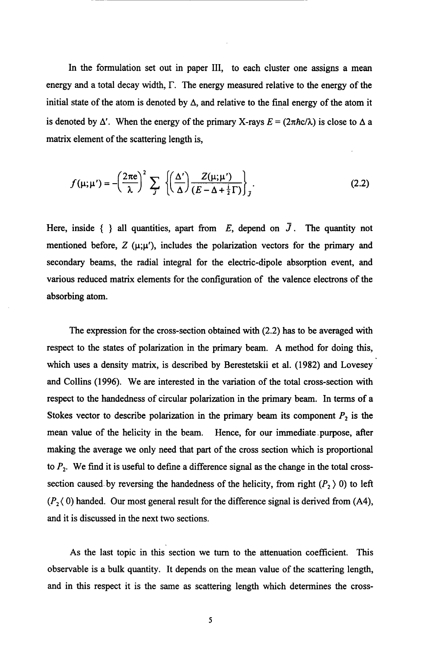In the formulation set out in paper III, to each cluster one assigns a mean energy and a total decay width,  $\Gamma$ . The energy measured relative to the energy of the initial state of the atom is denoted by  $\Delta$ , and relative to the final energy of the atom it is denoted by  $\Delta'$ . When the energy of the primary X-rays  $E = (2\pi \hbar c/\lambda)$  is close to  $\Delta$  a matrix element of the scattering length is,

$$
f(\mu; \mu') = -\left(\frac{2\pi e}{\lambda}\right)^2 \sum_{J} \left\{ \left(\frac{\Delta'}{\Delta}\right) \frac{Z(\mu; \mu')}{(E - \Delta + \frac{1}{2}\Gamma)} \right\}_J.
$$
 (2.2)

Here, inside  $\{\}$  all quantities, apart from *E*, depend on  $\overline{J}$ . The quantity not mentioned before,  $Z(\mu;\mu')$ , includes the polarization vectors for the primary and secondary beams, the radial integral for the electric-dipole absorption event, and various reduced matrix elements for the configuration of the valence electrons of the absorbing atom.

The expression for the cross-section obtained with (2.2) has to be averaged with respect to the states of polarization in the primary beam. A method for doing **this,**  which uses a density matrix, is described by Berestetskii et al. (1982) and Lovesey and Collins (1996). We are interested in the variation of the total cross-section with respect to the handedness of circular polarization in the primary beam. In terms of a Stokes vector to describe polarization in the primary beam its component  $P_2$  is the mean value of the helicity in the beam. Hence, for **our** immediate-purpose, after making the average we only need that part of the cross section which is proportional to *P,.* We find it is useful to define a difference signal as the change in the total crosssection caused by reversing the handedness of the helicity, from right  $(P_2)$  0) to left  $(P_2 \langle 0)$  handed. Our most general result for the difference signal is derived from (A4), and it is discussed in the next two sections.

**As** the last topic in this section we turn to the attenuation coefficient. **This**  observable is a bulk quantity. It depends on the mean value **of** the scattering length, and in this respect it is the same as scattering length which determines the cross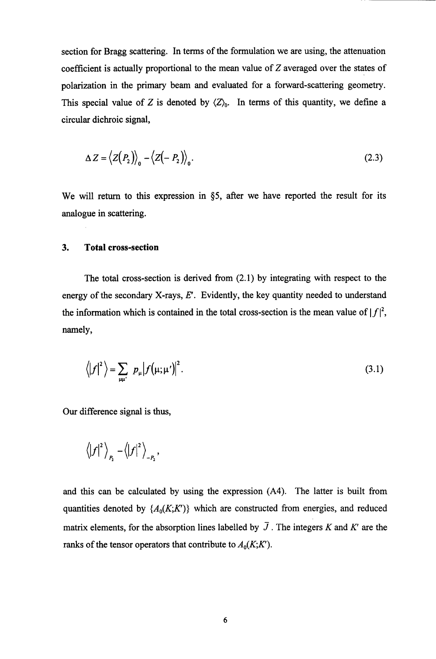section for Bragg scattering. In terms of the formulation we are using, the attenuation coefficient is actually proportional to the mean value of Z averaged over the states of polarization in the primary beam and evaluated for a forward-scattering geometry. This special value of Z is denoted by  $\langle Z \rangle$ <sub>0</sub>. In terms of this quantity, we define a circular dichroic signal,

$$
\Delta Z = \langle Z(P_2) \rangle_0 - \langle Z(-P_2) \rangle_0. \tag{2.3}
$$

We will return to this expression in *\$5,* after we have reported the result for its analogue in scattering.

#### **3. Total cross-section**

The total cross-section is derived from **(2.1)** by integrating with respect to the energy of the secondary X-rays, *E'.* Evidently, the key quantity needed to understand the information which is contained in the total cross-section is the mean value of  $|f|^2$ , namely,

$$
\langle |f|^2 \rangle = \sum_{\mu\mu'} \left| p_{\mu} | f(\mu;\mu') \right|^2. \tag{3.1}
$$

Our difference signal is thus,

$$
\left\langle \left| f\right| ^{2}\right\rangle _{P_{2}}-\left\langle \left| f\right| ^{2}\right\rangle _{-P_{2}},
$$

and this can be calculated by using the expression **(A4).** The latter is built from quantities denoted by  $\{A_0(K;K)\}\$  which are constructed from energies, and reduced matrix elements, for the absorption lines labelled by  $\bar{J}$ . The integers K and K' are the ranks of the tensor operators that contribute to  $A_0(K;K')$ .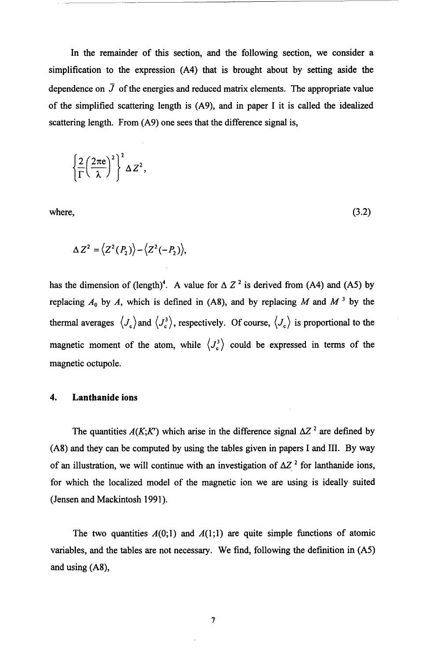In the remainder of **this** section, and the following section, we consider a simplification to the expression **(A4)** that is brought about by setting aside the dependence on  $\bar{J}$  of the energies and reduced matrix elements. The appropriate value of the simplified scattering length is **(A9),** and in paper I it is called the idealized scattering length. From **(A9)** one sees that the difference signal is,

$$
\left\{\frac{2}{\Gamma}\left(\frac{2\pi e}{\lambda}\right)^2\right\}^2\Delta Z^2,
$$

where,

 $(3.2)$ 

$$
\Delta Z^2 = \langle Z^2(P_2) \rangle - \langle Z^2(-P_2) \rangle,
$$

has the dimension of (length)<sup>4</sup>. A value for  $\Delta Z^2$  is derived from (A4) and (A5) by replacing  $A_0$  by  $A$ , which is defined in (A8), and by replacing  $M$  and  $M^3$  by the thermal averages  $\langle J_c \rangle$  and  $\langle J_c^3 \rangle$ , respectively. Of course,  $\langle J_c \rangle$  is proportional to the magnetic moment of the atom, while  $\langle J_e^3 \rangle$  could be expressed in terms of the magnetic octupole.

## **4. Lanthanide ions**

The quantities  $A(K; K')$  which arise in the difference signal  $\Delta Z^2$  are defined by **(A8)** and they can be computed by using the tables given in papers I and 111. By way of an illustration, we will continue with an investigation of  $\Delta Z^2$  for lanthanide ions, for which the localized model of the magnetic ion we are using is ideally suited (Jensen and Mackintosh **1991).** 

The two quantities  $A(0,1)$  and  $A(1,1)$  are quite simple functions of atomic variables, and the tables are not necessary. We find, following the definition in **(A5)**  and using (A8),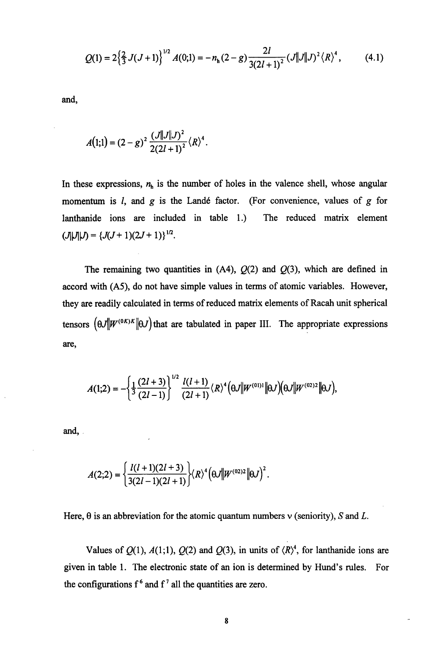$$
Q(1) = 2\left\{\frac{2}{3}J(J+1)\right\}^{1/2}A(0;1) = -n_h(2-g)\frac{2l}{3(2l+1)^2}(J||J||J)^2\langle R\rangle^4, \tag{4.1}
$$

and,

$$
A(1;1) = (2-g)^2 \frac{(J||J||J|^2}{2(2l+1)^2} \langle R \rangle^4.
$$

In these expressions,  $n<sub>h</sub>$  is the number of holes in the valence shell, whose angular momentum is *l*, and *g* is the Landé factor. (For convenience, values of *g* for lanthanide ions are included in table 1.) The reduced matrix element  $(J\vert J\vert J) = \{J(J+1)(2J+1)\}^{1/2}.$ 

The remaining two quantities in  $(A4)$ ,  $Q(2)$  and  $Q(3)$ , which are defined in accord with (A5), do not have simple values in terms of atomic variables. However, they are readily calculated in terms of reduced matrix elements of Racah unit spherical tensors  $(\theta J \| W^{(0K)K} \| \theta J)$  that are tabulated in paper III. The appropriate expressions are,

$$
A(1;2) = -\left\{\frac{1}{3}\frac{(2l+3)}{(2l-1)}\right\}^{1/2} \frac{l(l+1)}{(2l+1)} \langle R \rangle^4 \Big(\theta J \| W^{(01)1} \| \theta J \Big) \Big(\theta J \| W^{(02)2} \| \theta J \Big),
$$

and,

$$
A(2;2) = \left\{ \frac{l(l+1)(2l+3)}{3(2l-1)(2l+1)} \right\} \langle R \rangle^4 \left( \theta J \| W^{(02)2} \| \theta J \right)^2.
$$

Here,  $\theta$  is an abbreviation for the atomic quantum numbers  $\nu$  (seniority), S and L.

Values of  $Q(1)$ ,  $A(1,1)$ ,  $Q(2)$  and  $Q(3)$ , in units of  $\langle R \rangle^4$ , for lanthanide ions are given in table 1. The electronic state of an ion is determined by Hund's rules. For the configurations  $f^6$  and  $f^7$  all the quantities are zero.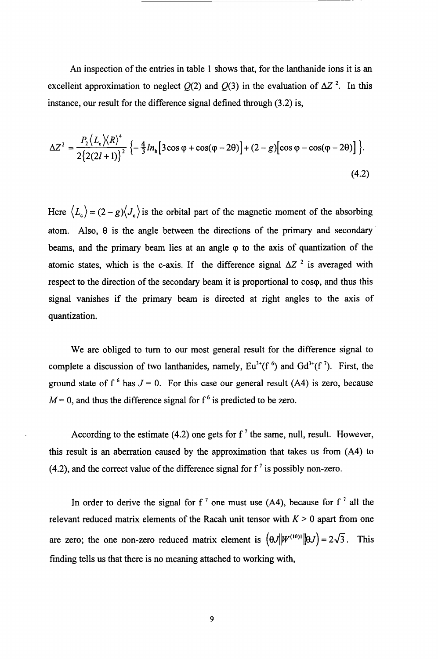*An* inspection of the entries in table 1 shows that, for the lanthanide ions it is an excellent approximation to neglect  $Q(2)$  and  $Q(3)$  in the evaluation of  $\Delta Z^2$ . In this instance, our result for the difference signal defined through *(3.2)* is,

$$
\Delta Z^{2} = \frac{P_{2} \langle L_{e} \rangle \langle R \rangle^{4}}{2 \{2(2l+1)\}^{2}} \left\{-\frac{4}{3} ln_{h} [3 \cos \varphi + \cos(\varphi - 2\theta)] + (2 - g) [\cos \varphi - \cos(\varphi - 2\theta)]\right\}.
$$
\n(4.2)

Here  $\langle L_c \rangle = (2 - g) \langle J_c \rangle$  is the orbital part of the magnetic moment of the absorbing atom. Also,  $\theta$  is the angle between the directions of the primary and secondary beams, and the primary beam lies at an angle *cp* to the axis of quantization of the atomic states, which is the c-axis. If the difference signal  $\Delta Z^2$  is averaged with respect to the direction of the secondary beam it is proportional to coso, and thus this signal vanishes if the primary beam is directed at right angles to the axis of quantization.

We are obliged to turn to our most general result for the difference signal to complete a discussion of two lanthanides, namely,  $Eu^{3+}(f^6)$  and  $Gd^{3+}(f^7)$ . First, the ground state of  $f^6$  has  $J = 0$ . For this case our general result (A4) is zero, because  $M=0$ , and thus the difference signal for f<sup>6</sup> is predicted to be zero.

According to the estimate (4.2) one gets for  $f^7$  the same, null, result. However, this result is an aberration caused by the approximation that takes us from (A4) to  $(4.2)$ , and the correct value of the difference signal for  $f'$  is possibly non-zero.

In order to derive the signal for  $f^{\prime}$  one must use (A4), because for  $f^{\prime}$  all the relevant reduced matrix elements of the Racah unit tensor with  $K > 0$  apart from one are zero; the one non-zero reduced matrix element is  $(\theta J || W^{(10)} || \theta J) = 2\sqrt{3}$ . This finding tells us that there is no meaning attached to working with,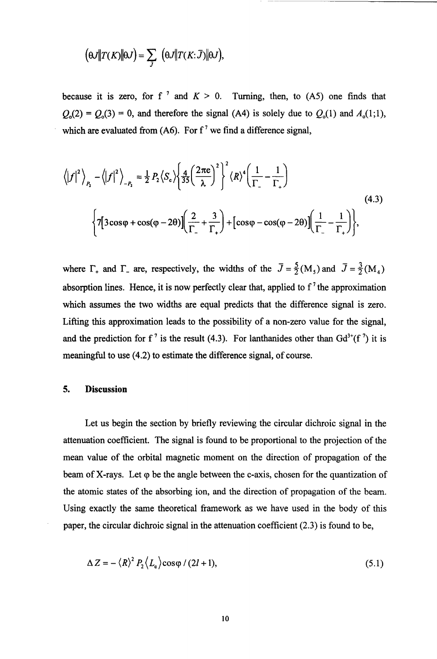$$
\left(\Theta J\|T(K)\|\Theta J\right)=\sum_{\overline{J}}\left(\Theta J\|T(K;\overline{J})\|\Theta J\right),
$$

because it is zero, for f<sup>7</sup> and  $K > 0$ . Turning, then, to (A5) one finds  $Q_0(2) = Q_0(3) = 0$ , and therefore the signal (A4) is solely due to  $Q_0(1)$  and  $A_0(1,1)$ , which are evaluated from (A6). For  $f^7$  we find a difference signal,

$$
\langle |f|^2 \rangle_{P_2} - \langle |f|^2 \rangle_{P_2} = \frac{1}{2} P_2 \langle S_c \rangle \left\{ \frac{4}{35} \left( \frac{2\pi e}{\lambda} \right)^2 \right\}^2 \langle R \rangle^4 \left( \frac{1}{\Gamma_-} - \frac{1}{\Gamma_+} \right)
$$
\n
$$
\Big\{ 7 \Big[ 3 \cos \varphi + \cos(\varphi - 2\theta) \Big] \Big( \frac{2}{\Gamma_-} + \frac{3}{\Gamma_+} \Big) + \Big[ \cos \varphi - \cos(\varphi - 2\theta) \Big] \Big( \frac{1}{\Gamma_-} - \frac{1}{\Gamma_+} \Big) \Big\},
$$
\n(4.3)

where  $\Gamma_+$  and  $\Gamma_-$  are, respectively, the widths of the  $\overline{J} = \frac{5}{2} (M_5)$  and  $\overline{J} = \frac{3}{2} (M_4)$ absorption lines. Hence, it is now perfectly clear that, applied to  $f^7$  the approximation which assumes the two widths are equal predicts that the difference signal is zero. Lifting this approximation leads to the possibility of a non-zero value for the signal, and the prediction for f<sup>7</sup> is the result (4.3). For lanthanides other than  $Gd^{3+}(f^7)$  it is meaningful to use (4.2) to estimate the difference signal, of course.

#### *5.* **Discussion**

Let us begin the section by briefly reviewing the circular dichroic signal in the attenuation coefficient. The signal is found to be proportional to the projection of the mean value of the orbital magnetic moment on the direction of propagation of the beam of X-rays. Let  $\varphi$  be the angle between the c-axis, chosen for the quantization of the atomic states of the absorbing ion, and the direction of propagation of the beam. Using exactly the same theoretical framework as we have used in the body of this paper, the circular dichroic signal in the attenuation coefficient (2.3) is found to be,

$$
\Delta Z = -\langle R \rangle^2 P_2 \langle L_c \rangle \cos \varphi / (2l+1), \tag{5.1}
$$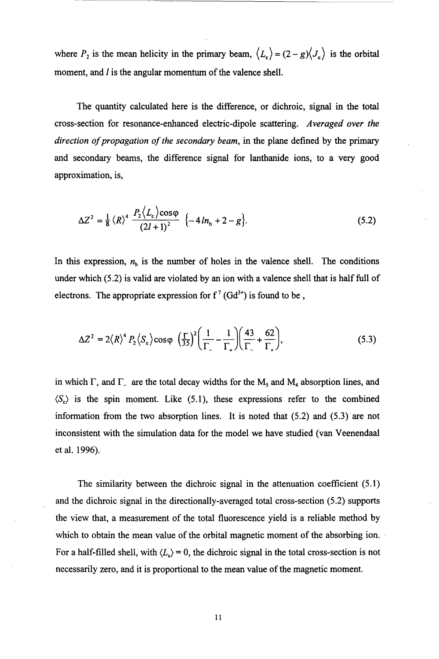where  $P_2$  is the mean helicity in the primary beam,  $\langle L_c \rangle = (2 - g) \langle J_c \rangle$  is the orbital moment, and *l* is the angular momentum of the valence shell.

The quantity calculated here is the difference, or dichroic, signal in the total cross-section for resonance-enhanced electric-dipole scattering. *Averaged over the direction of propagation of the secondary beam,* in the plane defined by the primary and secondary beams, the difference signal for lanthanide ions, to a very good approximation, is,

$$
\Delta Z^{2} = \frac{1}{8} \left\langle R \right\rangle^{4} \frac{P_{2} \left\langle L_{c} \right\rangle \cos \varphi}{\left(2l+1\right)^{2}} \left\{ -4 \ln_{h} + 2 - g \right\}.
$$
 (5.2)

In this expression,  $n_h$  is the number of holes in the valence shell. The conditions under which *(5.2)* is valid are violated by an ion with a valence shell that is half full of electrons. The appropriate expression for  $f'(Gd^{3+})$  is found to be,

$$
\Delta Z^2 = 2\langle R \rangle^4 P_2 \langle S_c \rangle \cos \varphi \left(\frac{\Gamma}{35}\right)^2 \left(\frac{1}{\Gamma_-} - \frac{1}{\Gamma_+}\right) \left(\frac{43}{\Gamma_-} + \frac{62}{\Gamma_+}\right),\tag{5.3}
$$

in which  $\Gamma_+$  and  $\Gamma_-$  are the total decay widths for the M<sub>5</sub> and M<sub>4</sub> absorption lines, and  $\langle S_{\rm c} \rangle$  is the spin moment. Like (5.1), these expressions refer to the combined information from the two absorption lines. It is noted that *(5.2)* and *(5.3)* are not inconsistent with the simulation data for the model we have studied (van Veenendaal et al. *1996).* 

The similarity between the dichroic signal in the attenuation coefficient **(5.1)**  and the dichroic signal in the directionally-averaged total cross-section *(5.2)* supports the view that, a measurement of the total fluorescence yield is a reliable method by which to obtain the mean value of the orbital magnetic moment of the absorbing ion. For a half-filled shell, with  $\langle L_c \rangle = 0$ , the dichroic signal in the total cross-section is not necessarily zero, and it is proportional to the mean value of the magnetic moment.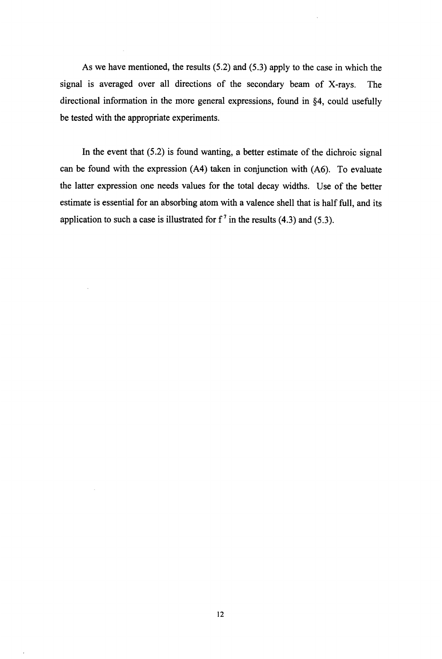**As** we have mentioned, the results (5.2) and **(5.3)** apply to the case in which the signal is averaged over all directions of the secondary beam of X-rays. The directional information in the more general expressions, found in §4, could usefully be tested with the appropriate experiments.

In the event that (5.2) is found wanting, a better estimate of the dichroic signal can be found with the expression **(A4)** taken in conjunction with **(A6).** To evaluate the latter expression one needs values for the total decay widths. Use of the better estimate is essential for an absorbing atom with a valence shell that is half full, and its application to such a case is illustrated for  $f^7$  in the results  $(4.3)$  and  $(5.3)$ .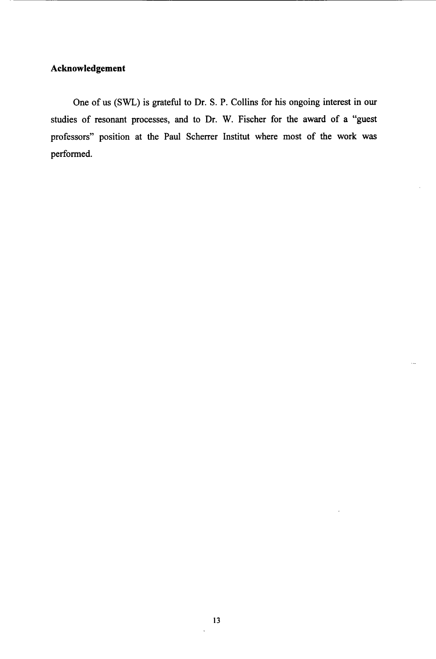# **Acknowledgement**

**One of us (SWL) is grateful to Dr.** *S.* **P. Collins for his ongoing interest in our studies of resonant processes, and to Dr. W. Fischer for the award** of **a "guest professors" position at the Paul Schemer Institut where most of the work was performed.** 

 $\ddotsc$ 

 $\ddot{\phantom{0}}$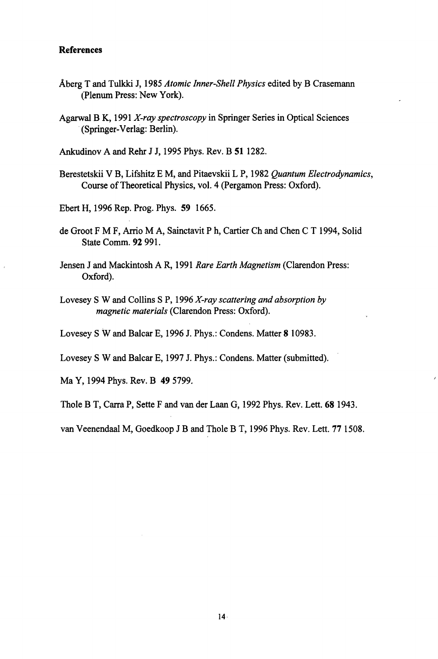## **References**

- Aberg T and Tulkki J, **1985** *Atomic Inner-Shell Physics* edited by B Crasemann (Plenum Press: New York).
- Agarwal B K, **1991** *X-ray spectroscopy* in Springer Series in Optical Sciences (Springer-Verlag: Berlin).

Ankudinov A and Rehr **J** J, **1995** Phys. Rev. B **51 1282.** 

- Berestetskii V B, Lifshitz E M, and Pitaevskii L P, **1982** *Quantum Electrodynamics,*  Course of Theoretical Physics, vol. **4** (Pergamon Press: Oxford).
- Ebert H, **1996** Rep. Prog. Phys. **59 1665.**
- de Groot F M F, *Arrio* M A, Sainctavit P **h,** Cartier Ch and Chen C T **1994,** Solid State Comm. **92 991.**
- Jensen J and Mackintosh A R, **199 1** *Rare Earth Magnetism* (Clarendon Press: Oxford).
- Lovesey *S* W and Collins *S P, 1996 <i>X-ray scattering and absorption by magnetic materials* (Clarendon Press: Oxford).
- Lovesey *S* W and Balcar E, **1996** J. Phys.: Condens. Matter **8 10983.**
- Lovesey *S* W and Balcar E, **1997** J. Phys.: Condens. Matter (submitted).

Ma Y, **1994** Phys. Rev. B **49 5799.** 

Thole B T, Carra P, Sette F and van der Laan G, **1992** Phys. Rev. Lett. **68 1943.** 

van Veenendaal M, Goedkoop J B and Thole B T, **1996** Phys. Rev. Lett. **77 1508.**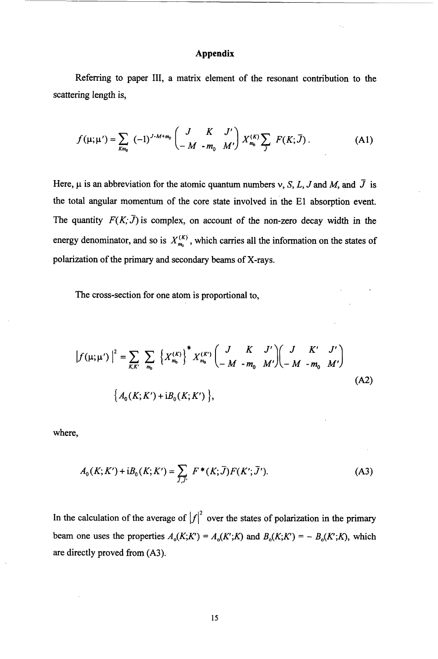## **Appendix**

Referring to paper 111, a matrix element of the resonant contribution to the scattering length is,

$$
f(\mu; \mu') = \sum_{Km_0} (-1)^{J \cdot M + m_0} \begin{pmatrix} J & K & J' \\ -M & -m_0 & M' \end{pmatrix} X_{m_0}^{(K)} \sum_j F(K; \bar{J}). \tag{A1}
$$

Here,  $\mu$  is an abbreviation for the atomic quantum numbers *v*, *S*, *L*, *J* and *M*, and  $\bar{J}$  is the total angular momentum of the core state involved in the **El** absorption event. The quantity  $F(K;\bar{J})$  is complex, on account of the non-zero decay width in the energy denominator, and so is  $X_{m_0}^{(K)}$ , which carries all the information on the states of polarization of the primary and secondary beams of X-rays.

The cross-section for one atom is proportional to,

$$
\left|f(\mu;\mu')\right|^2 = \sum_{K,K'} \sum_{m_0} \left\{X_{m_0}^{(K)}\right\}^* X_{m_0}^{(K')} \begin{pmatrix} J & K & J' \\ -M & -m_0 & M' \end{pmatrix} \begin{pmatrix} J & K' & J' \\ -M & -m_0 & M' \end{pmatrix}
$$
\n(A2)\n
$$
\left\{A_0(K;K') + iB_0(K;K')\right\},
$$

where,

$$
A_0(K; K') + iB_0(K; K') = \sum_{J, J'} F^*(K; \bar{J}) F(K'; \bar{J}').
$$
 (A3)

In the calculation of the average of  $|f|^2$  over the states of polarization in the primary beam one uses the properties  $A_0(K;K') = A_0(K;K)$  and  $B_0(K;K') = -B_0(K;K)$ , which are directly proved from **(A3).**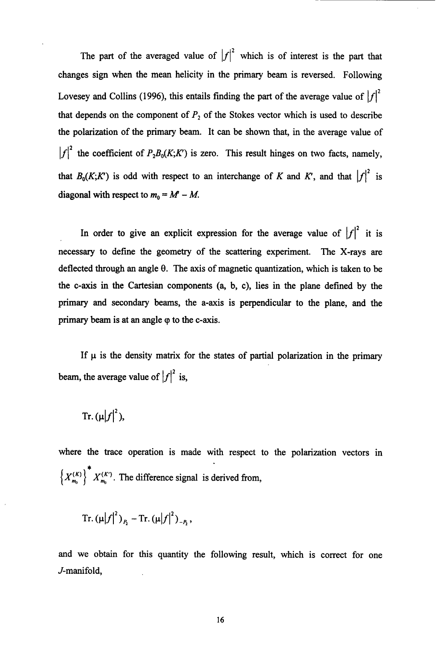The part of the averaged value of  $|f|^2$  which is of interest is the part that changes sign when the mean helicity in the primary beam is reversed. Following Lovesey and Collins (1996), this entails finding the part of the average value of  $|f|^2$ that depends on the component of  $P_2$  of the Stokes vector which is used to describe the polarization **of** the primary beam. It can be shown that, in the average value of  $|f|^2$  the coefficient of  $P_2B_0(K;K')$  is zero. This result hinges on two facts, namely, that  $B_0(K; K')$  is odd with respect to an interchange of *K* and *K'*, and that  $|f|^2$  is diagonal with respect to  $m_0 = M - M$ .

In order to give an explicit expression for the average value of  $|f|^2$  it is necessary to define the geometry of the scattering experiment. The X-rays are deflected through an angle **8.** The axis of magnetic quantization, which is taken to be the c-axis in the Cartesian components (a, b, c), lies in the plane defined by the primary and secondary beams, the a-axis is perpendicular to the plane, and the primary beam is at an angle  $\varphi$  to the c-axis.

If  $\mu$  is the density matrix for the states of partial polarization in the primary beam, the average value of  $|f|^2$  is,

Tr. 
$$
(\mu |f|^2)
$$
,

where the trace operation is made with respect to the polarization vectors in  $\left\{X_{m_0}^{(K)}\right\}^* X_{m_0}^{(K')}$ . The difference signal is derived from,

Tr. 
$$
(\mu |f|^2)_{P_2}
$$
 - Tr.  $(\mu |f|^2)_{-P_2}$ ,

and we obtain for this quantity the following result, which is correct for one J-manifold,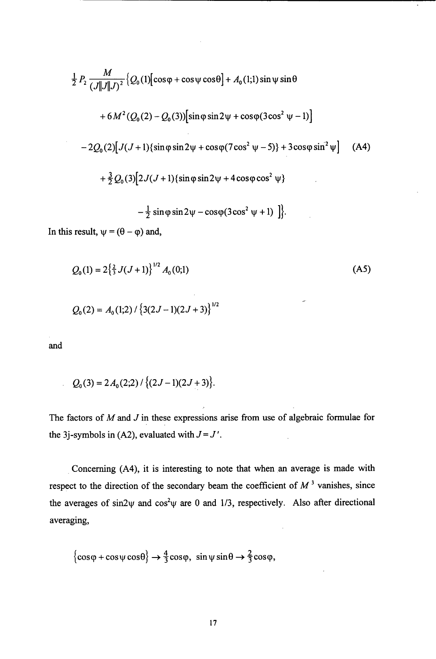$$
\frac{1}{2} P_2 \frac{M}{(J||J||J)^2} \{Q_0(1)[\cos\varphi + \cos\psi \cos\theta] + A_0(1;1) \sin\psi \sin\theta
$$
  
+6M<sup>2</sup>(Q<sub>0</sub>(2) - Q<sub>0</sub>(3)) [sin \varphi sin 2\psi + cos \varphi (3 cos<sup>2</sup> \psi - 1)]  
-2Q<sub>0</sub>(2) [J(J+1){sin \varphi sin 2\psi + cos \varphi (7 cos<sup>2</sup> \psi - 5)} + 3 cos \varphi sin<sup>2</sup> \psi ] (A4)  
+ $\frac{3}{2} Q_0(3) [2J(J+1){sin \varphi sin 2\psi + 4 cos \varphi cos2 \psi}$   
 $-\frac{1}{2} sin \varphi sin 2\psi - cos \varphi (3 cos2 \psi + 1) ]$  }.

l,

In this result,  $\psi = (\theta - \varphi)$  and,

$$
Q_0(1) = 2\left\{\frac{2}{3} J(J+1)\right\}^{1/2} A_0(0;1)
$$
\n
$$
Q_0(2) = A_0(1;2) / \left\{3(2J-1)(2J+3)\right\}^{1/2}
$$
\n(A5)

and

$$
Q_0(3) = 2 A_0(2,2) / \{(2J-1)(2J+3)\}.
$$

The factors of *M* and *J* in these expressions arise from use of algebraic formulae for the 3*j*-symbols in (A2), evaluated with  $J = J'$ .  $\ddot{\phantom{a}}$ 

Concerning (A4), it is interesting to note that when an average is made with respect to the direction of the secondary beam the coefficient of  $M<sup>3</sup>$  vanishes, since the averages of sin2 $\psi$  and cos<sup>2</sup> $\psi$  are 0 and 1/3, respectively. Also after directional averaging,

$$
\{\cos\varphi + \cos\psi\cos\theta\} \rightarrow \frac{4}{3}\cos\varphi, \sin\psi\sin\theta \rightarrow \frac{2}{3}\cos\varphi,
$$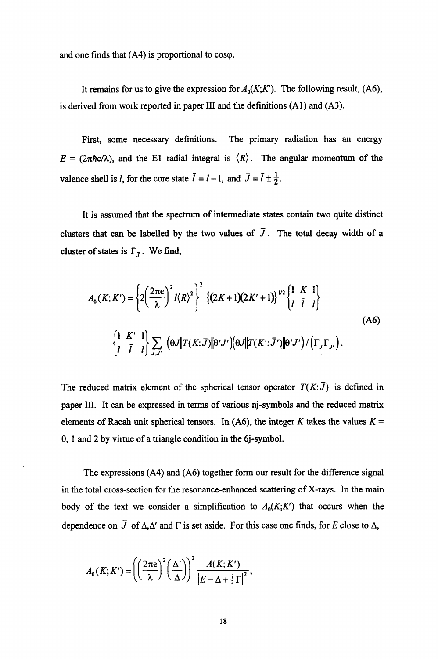and one finds that  $(A4)$  is proportional to cosq.

It remains for us to give the expression for  $A_0(K;K')$ . The following result, (A6), is derived fiom work reported in paper I11 and the definitions **(Al)** and **(A3).** 

First, some necessary definitions. The primary radiation has an energy  $E = (2\pi \hbar c/\lambda)$ , and the El radial integral is  $\langle R \rangle$ . The angular momentum of the valence shell is *l*, for the core state  $\bar{l} = l - 1$ , and  $\bar{J} = \bar{l} \pm \frac{1}{2}$ .

It is assumed that the spectrum of intermediate states contain two quite distinct clusters that can be labelled by the two values of  $\overline{J}$ . The total decay width of a cluster of states is  $\Gamma_{\bar{j}}$ . We find,

$$
A_0(K; K') = \left\{ 2\left(\frac{2\pi e}{\lambda}\right)^2 l \langle R \rangle^2 \right\}^2 \left\{ (2K+1)(2K'+1) \right\}^{1/2} \begin{Bmatrix} 1 & K & 1 \\ l & \overline{l} & l \end{Bmatrix}
$$
  
\n
$$
\begin{Bmatrix} 1 & K' & 1 \\ l & \overline{l} & l \end{Bmatrix} \sum_{J,J'} \left( \theta J \| T(K;\overline{J}) \| \theta' J' \right) \left( \theta J \| T(K';\overline{J'}) \| \theta' J' \right) / \left( \Gamma_J \Gamma_{J'} \right).
$$
 (A6)

The reduced matrix element of the spherical tensor operator  $T(K;\overline{J})$  is defined in paper 111. It can be expressed in terms of various nj-symbols and the reduced matrix elements of Racah unit spherical tensors. In (A6), the integer *K* takes the values  $K =$ 0, **1** and 2 by virtue of a triangle condition in the 6j-symbol.

The expressions **(A4)** and **(A6)** together form our result for the difference signal in the total cross-section for the resonance-enhanced scattering of X-rays. In the main body of the text we consider a simplification to  $A_0(K;K')$  that occurs when the dependence on  $\overline{J}$  of  $\Delta, \Delta'$  and  $\Gamma$  is set aside. For this case one finds, for *E* close to  $\Delta$ ,

$$
A_0(K; K') = \left( \left( \frac{2\pi e}{\lambda} \right)^2 \left( \frac{\Delta'}{\Delta} \right) \right)^2 \frac{A(K; K')}{\left| E - \Delta + \frac{1}{2}\Gamma \right|^2},
$$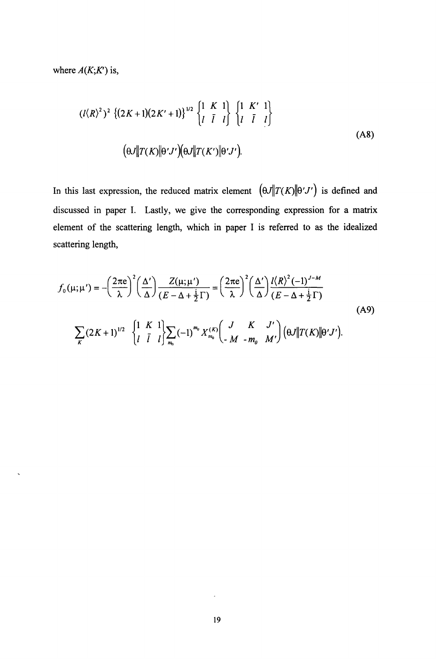where  $A(K;K')$  is,

$$
(l\langle R\rangle^{2})^{2} \{ (2K+1)(2K'+1) \}^{1/2} \begin{Bmatrix} 1 & K & 1 \\ l & \bar{l} & l \end{Bmatrix} \begin{Bmatrix} 1 & K' & 1 \\ l & \bar{l} & l \end{Bmatrix}
$$
  
\n
$$
(\theta J \| T(K) \| \theta' J') (\theta J \| T(K') \| \theta' J').
$$
\n(A8)

In this last expression, the reduced matrix element  $(\theta J \| T(K) \| \theta' J')$  is defined and discussed in paper I. Lastly, we give the corresponding expression for a matrix element of the scattering length, which in paper I is referred to as the idealized scattering length,

$$
f_0(\mu;\mu') = -\left(\frac{2\pi e}{\lambda}\right)^2 \left(\frac{\Delta'}{\Delta}\right) \frac{Z(\mu;\mu')}{(E-\Delta+\frac{1}{2}\Gamma)} = \left(\frac{2\pi e}{\lambda}\right)^2 \left(\frac{\Delta'}{\Delta}\right) \frac{l\langle R\rangle^2 (-1)^{J-M}}{(E-\Delta+\frac{1}{2}\Gamma)}
$$
\n(A9)\n
$$
\sum_K (2K+1)^{1/2} \left\{\begin{matrix} 1 & K & 1 \\ l & \overline{l} & l \end{matrix} \right\} \sum_{m_0} (-1)^{m_0} X_{m_0}^{(K)} \left(\begin{matrix} J & K & J' \\ -M & -m_0 & M' \end{matrix} \right) \left(\theta J \| T(K) \| \theta' J' \right).
$$

k,